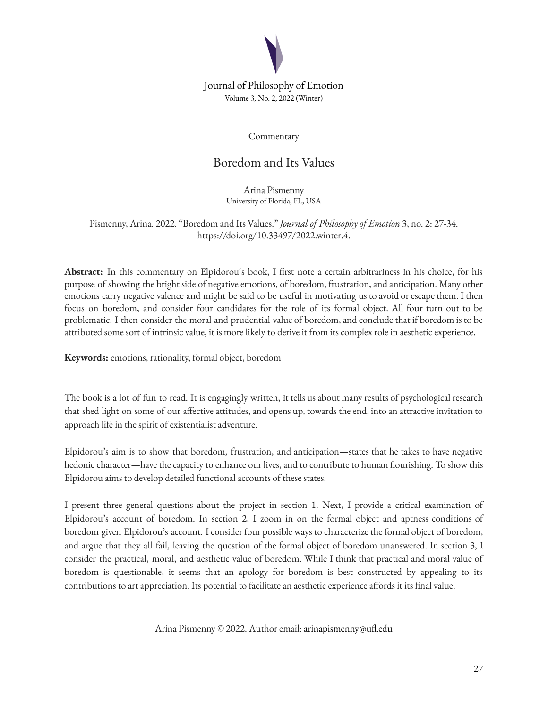

## Journal of Philosophy of Emotion Volume 3, No. 2, 2022 (Winter)

Commentary

# Boredom and Its Values

Arina Pismenny University of Florida, FL, USA

Pismenny, Arina. 2022. "Boredom and Its Values." *Journal of Philosophy of Emotion* 3, no. 2: 27-34. https://doi.org/10.33497/2022.winter.4.

**Abstract:** In this commentary on Elpidorou's book, I first note a certain arbitrariness in his choice, for his purpose of showing the bright side of negative emotions, of boredom, frustration, and anticipation. Many other emotions carry negative valence and might be said to be useful in motivating us to avoid or escape them. I then focus on boredom, and consider four candidates for the role of its formal object. All four turn out to be problematic. I then consider the moral and prudential value of boredom, and conclude that if boredom is to be attributed some sort of intrinsic value, it is more likely to derive it from its complex role in aesthetic experience.

**Keywords:** emotions, rationality, formal object, boredom

The book is a lot of fun to read. It is engagingly written, it tells us about many results of psychological research that shed light on some of our affective attitudes, and opens up, towards the end, into an attractive invitation to approach life in the spirit of existentialist adventure.

Elpidorou's aim is to show that boredom, frustration, and anticipation—states that he takes to have negative hedonic character—have the capacity to enhance our lives, and to contribute to human flourishing. To show this Elpidorou aims to develop detailed functional accounts of these states.

I present three general questions about the project in section 1. Next, I provide a critical examination of Elpidorou's account of boredom. In section 2, I zoom in on the formal object and aptness conditions of boredom given Elpidorou's account. I consider four possible ways to characterize the formal object of boredom, and argue that they all fail, leaving the question of the formal object of boredom unanswered. In section 3, I consider the practical, moral, and aesthetic value of boredom. While I think that practical and moral value of boredom is questionable, it seems that an apology for boredom is best constructed by appealing to its contributions to art appreciation. Its potential to facilitate an aesthetic experience affords it its final value.

Arina Pismenny © 2022. Author email: arinapismenny@ufl.edu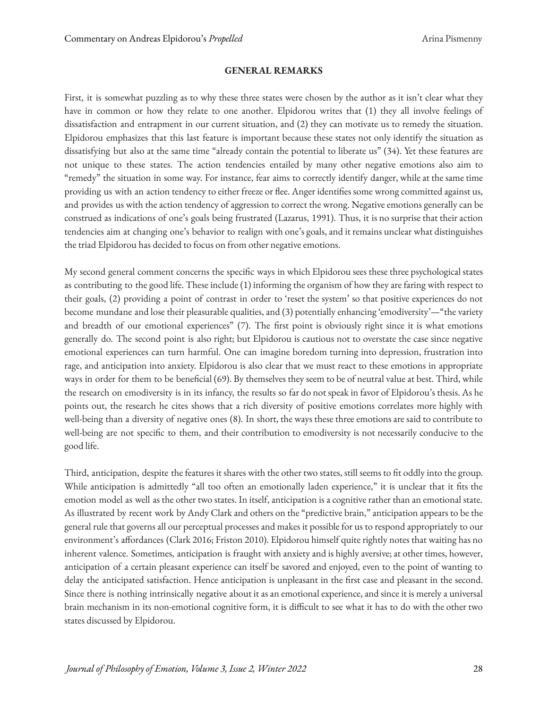#### **GENERAL REMARKS**

First, it is somewhat puzzling as to why these three states were chosen by the author as it isn't clear what they have in common or how they relate to one another. Elpidorou writes that (1) they all involve feelings of dissatisfaction and entrapment in our current situation, and (2) they can motivate us to remedy the situation. Elpidorou emphasizes that this last feature is important because these states not only identify the situation as dissatisfying but also at the same time "already contain the potential to liberate us" (34). Yet these features are not unique to these states. The action tendencies entailed by many other negative emotions also aim to "remedy" the situation in some way. For instance, fear aims to correctly identify danger, while at the same time providing us with an action tendency to either freeze or flee. Anger identifies some wrong committed against us, and provides us with the action tendency of aggression to correct the wrong. Negative emotions generally can be construed as indications of one's goals being frustrated (Lazarus, 1991). Thus, it is no surprise that their action tendencies aim at changing one's behavior to realign with one's goals, and it remains unclear what distinguishes the triad Elpidorou has decided to focus on from other negative emotions.

My second general comment concerns the specific ways in which Elpidorou sees these three psychological states as contributing to the good life. These include (1) informing the organism of how they are faring with respect to their goals, (2) providing a point of contrast in order to 'reset the system' so that positive experiences do not become mundane and lose their pleasurable qualities, and (3) potentially enhancing 'emodiversity'—"the variety and breadth of our emotional experiences" (7). The first point is obviously right since it is what emotions generally do. The second point is also right; but Elpidorou is cautious not to overstate the case since negative emotional experiences can turn harmful. One can imagine boredom turning into depression, frustration into rage, and anticipation into anxiety. Elpidorou is also clear that we must react to these emotions in appropriate ways in order for them to be beneficial (69). By themselves they seem to be of neutral value at best. Third, while the research on emodiversity is in its infancy, the results so far do not speak in favor of Elpidorou's thesis. As he points out, the research he cites shows that a rich diversity of positive emotions correlates more highly with well-being than a diversity of negative ones (8). In short, the ways these three emotions are said to contribute to well-being are not specific to them, and their contribution to emodiversity is not necessarily conducive to the good life.

Third, anticipation, despite the features it shares with the other two states, still seems to fit oddly into the group. While anticipation is admittedly "all too often an emotionally laden experience," it is unclear that it fits the emotion model as well as the other two states. In itself, anticipation is a cognitive rather than an emotional state. As illustrated by recent work by Andy Clark and others on the "predictive brain," anticipation appears to be the general rule that governs all our perceptual processes and makes it possible for us to respond appropriately to our environment's affordances (Clark 2016; Friston 2010). Elpidorou himself quite rightly notes that waiting has no inherent valence. Sometimes, anticipation is fraught with anxiety and is highly aversive; at other times, however, anticipation of a certain pleasant experience can itself be savored and enjoyed, even to the point of wanting to delay the anticipated satisfaction. Hence anticipation is unpleasant in the first case and pleasant in the second. Since there is nothing intrinsically negative about it as an emotional experience, and since it is merely a universal brain mechanism in its non-emotional cognitive form, it is difficult to see what it has to do with the other two states discussed by Elpidorou.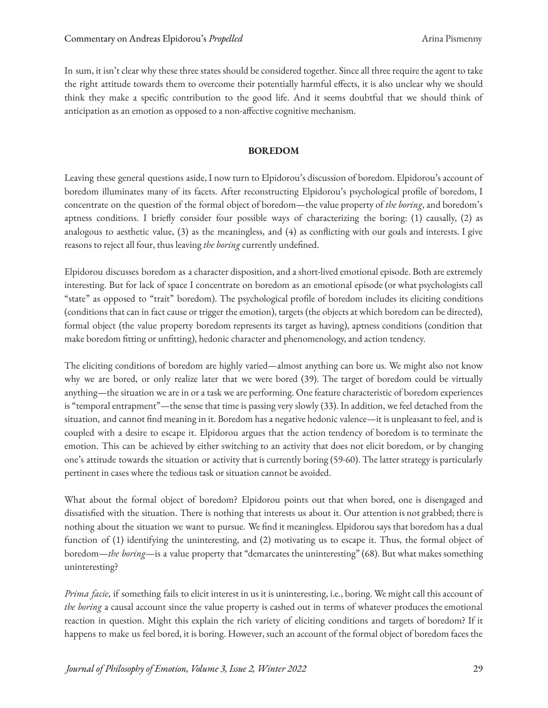In sum, it isn't clear why these three states should be considered together. Since all three require the agent to take the right attitude towards them to overcome their potentially harmful effects, it is also unclear why we should think they make a specific contribution to the good life. And it seems doubtful that we should think of anticipation as an emotion as opposed to a non-affective cognitive mechanism.

#### **BOREDOM**

Leaving these general questions aside, I now turn to Elpidorou's discussion of boredom. Elpidorou's account of boredom illuminates many of its facets. After reconstructing Elpidorou's psychological profile of boredom, I concentrate on the question of the formal object of boredom—the value property of *the boring*, and boredom's aptness conditions. I briefly consider four possible ways of characterizing the boring: (1) causally, (2) as analogous to aesthetic value, (3) as the meaningless, and (4) as conflicting with our goals and interests. I give reasons to reject all four, thus leaving *the boring* currently undefined.

Elpidorou discusses boredom as a character disposition, and a short-lived emotional episode. Both are extremely interesting. But for lack of space I concentrate on boredom as an emotional episode (or what psychologists call "state" as opposed to "trait" boredom). The psychological profile of boredom includes its eliciting conditions (conditions that can in fact cause or trigger the emotion), targets (the objects at which boredom can be directed), formal object (the value property boredom represents its target as having), aptness conditions (condition that make boredom fitting or unfitting), hedonic character and phenomenology, and action tendency.

The eliciting conditions of boredom are highly varied—almost anything can bore us. We might also not know why we are bored, or only realize later that we were bored (39). The target of boredom could be virtually anything—the situation we are in or a task we are performing. One feature characteristic of boredom experiences is "temporal entrapment"—the sense that time is passing very slowly (33). In addition, we feel detached from the situation, and cannot find meaning in it. Boredom has a negative hedonic valence—it is unpleasant to feel, and is coupled with a desire to escape it. Elpidorou argues that the action tendency of boredom is to terminate the emotion. This can be achieved by either switching to an activity that does not elicit boredom, or by changing one's attitude towards the situation or activity that is currently boring (59-60). The latter strategy is particularly pertinent in cases where the tedious task or situation cannot be avoided.

What about the formal object of boredom? Elpidorou points out that when bored, one is disengaged and dissatisfied with the situation. There is nothing that interests us about it. Our attention is not grabbed; there is nothing about the situation we want to pursue. We find it meaningless. Elpidorou says that boredom has a dual function of (1) identifying the uninteresting, and (2) motivating us to escape it. Thus, the formal object of boredom—*the boring*—is a value property that "demarcates the uninteresting" (68). But what makes something uninteresting?

*Prima facie*, if something fails to elicit interest in us it is uninteresting, i.e., boring. We might call this account of *the boring* a causal account since the value property is cashed out in terms of whatever produces the emotional reaction in question. Might this explain the rich variety of eliciting conditions and targets of boredom? If it happens to make us feel bored, it is boring. However, such an account of the formal object of boredom faces the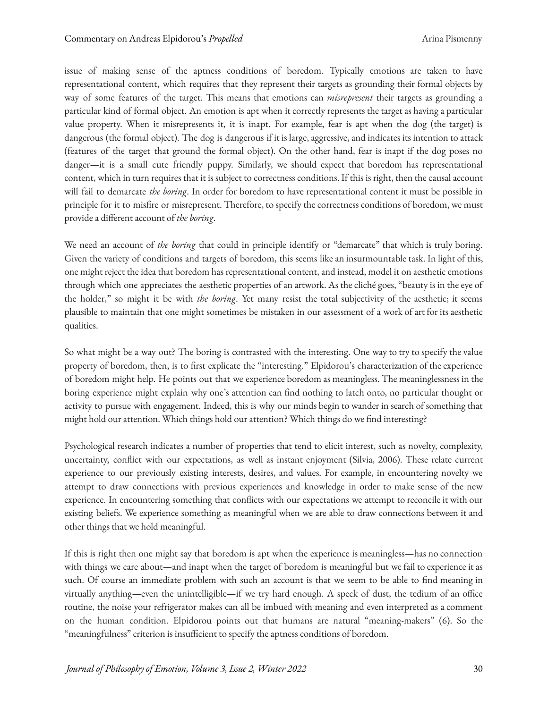issue of making sense of the aptness conditions of boredom. Typically emotions are taken to have representational content, which requires that they represent their targets as grounding their formal objects by way of some features of the target. This means that emotions can *misrepresent* their targets as grounding a particular kind of formal object. An emotion is apt when it correctly represents the target as having a particular value property. When it misrepresents it, it is inapt. For example, fear is apt when the dog (the target) is dangerous (the formal object). The dog is dangerous if it is large, aggressive, and indicates its intention to attack (features of the target that ground the formal object). On the other hand, fear is inapt if the dog poses no danger—it is a small cute friendly puppy. Similarly, we should expect that boredom has representational content, which in turn requires that it is subject to correctness conditions. If this is right, then the causal account will fail to demarcate *the boring*. In order for boredom to have representational content it must be possible in principle for it to misfire or misrepresent. Therefore, to specify the correctness conditions of boredom, we must provide a different account of *the boring*.

We need an account of *the boring* that could in principle identify or "demarcate" that which is truly boring. Given the variety of conditions and targets of boredom, this seems like an insurmountable task. In light of this, one might reject the idea that boredom has representational content, and instead, model it on aesthetic emotions through which one appreciates the aesthetic properties of an artwork. As the cliché goes, "beauty is in the eye of the holder," so might it be with *the boring*. Yet many resist the total subjectivity of the aesthetic; it seems plausible to maintain that one might sometimes be mistaken in our assessment of a work of art for its aesthetic qualities.

So what might be a way out? The boring is contrasted with the interesting. One way to try to specify the value property of boredom, then, is to first explicate the "interesting." Elpidorou's characterization of the experience of boredom might help. He points out that we experience boredom as meaningless. The meaninglessness in the boring experience might explain why one's attention can find nothing to latch onto, no particular thought or activity to pursue with engagement. Indeed, this is why our minds begin to wander in search of something that might hold our attention. Which things hold our attention? Which things do we find interesting?

Psychological research indicates a number of properties that tend to elicit interest, such as novelty, complexity, uncertainty, conflict with our expectations, as well as instant enjoyment (Silvia, 2006). These relate current experience to our previously existing interests, desires, and values. For example, in encountering novelty we attempt to draw connections with previous experiences and knowledge in order to make sense of the new experience. In encountering something that conflicts with our expectations we attempt to reconcile it with our existing beliefs. We experience something as meaningful when we are able to draw connections between it and other things that we hold meaningful.

If this is right then one might say that boredom is apt when the experience is meaningless—has no connection with things we care about—and inapt when the target of boredom is meaningful but we fail to experience it as such. Of course an immediate problem with such an account is that we seem to be able to find meaning in virtually anything—even the unintelligible—if we try hard enough. A speck of dust, the tedium of an office routine, the noise your refrigerator makes can all be imbued with meaning and even interpreted as a comment on the human condition. Elpidorou points out that humans are natural "meaning-makers" (6). So the "meaningfulness" criterion is insufficient to specify the aptness conditions of boredom.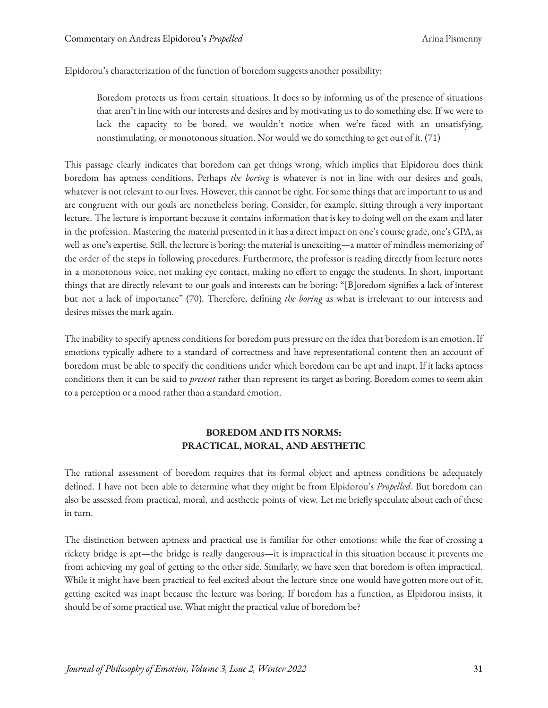Elpidorou's characterization of the function of boredom suggests another possibility:

Boredom protects us from certain situations. It does so by informing us of the presence of situations that aren't in line with our interests and desires and by motivating us to do something else. If we were to lack the capacity to be bored, we wouldn't notice when we're faced with an unsatisfying, nonstimulating, or monotonous situation. Nor would we do something to get out of it. (71)

This passage clearly indicates that boredom can get things wrong, which implies that Elpidorou does think boredom has aptness conditions. Perhaps *the boring* is whatever is not in line with our desires and goals, whatever is not relevant to our lives. However, this cannot be right. For some things that are important to us and are congruent with our goals are nonetheless boring. Consider, for example, sitting through a very important lecture. The lecture is important because it contains information that is key to doing well on the exam and later in the profession. Mastering the material presented in it has a direct impact on one's course grade, one's GPA, as well as one's expertise. Still, the lecture is boring: the material is unexciting—a matter of mindless memorizing of the order of the steps in following procedures. Furthermore, the professor is reading directly from lecture notes in a monotonous voice, not making eye contact, making no effort to engage the students. In short, important things that are directly relevant to our goals and interests can be boring: "[B]oredom signifies a lack of interest but not a lack of importance" (70). Therefore, defining *the boring* as what is irrelevant to our interests and desires misses the mark again.

The inability to specify aptness conditions for boredom puts pressure on the idea that boredom is an emotion. If emotions typically adhere to a standard of correctness and have representational content then an account of boredom must be able to specify the conditions under which boredom can be apt and inapt. If it lacks aptness conditions then it can be said to *present* rather than represent its target as boring. Boredom comes to seem akin to a perception or a mood rather than a standard emotion.

## **BOREDOM AND ITS NORMS: PRACTICAL, MORAL, AND AESTHETIC**

The rational assessment of boredom requires that its formal object and aptness conditions be adequately defined. I have not been able to determine what they might be from Elpidorou's *Propelled*. But boredom can also be assessed from practical, moral, and aesthetic points of view. Let me briefly speculate about each of these in turn.

The distinction between aptness and practical use is familiar for other emotions: while the fear of crossing a rickety bridge is apt—the bridge is really dangerous—it is impractical in this situation because it prevents me from achieving my goal of getting to the other side. Similarly, we have seen that boredom is often impractical. While it might have been practical to feel excited about the lecture since one would have gotten more out of it, getting excited was inapt because the lecture was boring. If boredom has a function, as Elpidorou insists, it should be of some practical use. What might the practical value of boredom be?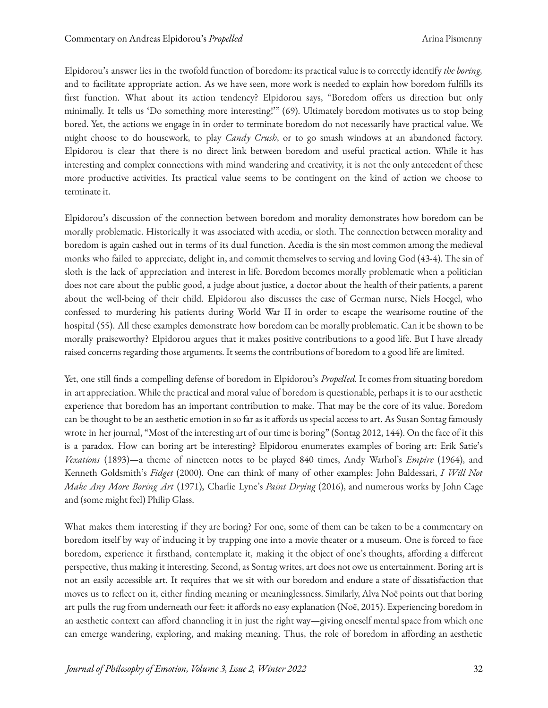Elpidorou's answer lies in the twofold function of boredom: its practical value is to correctly identify *the boring,* and to facilitate appropriate action. As we have seen, more work is needed to explain how boredom fulfills its first function. What about its action tendency? Elpidorou says, "Boredom offers us direction but only minimally. It tells us 'Do something more interesting!'" (69). Ultimately boredom motivates us to stop being bored. Yet, the actions we engage in in order to terminate boredom do not necessarily have practical value. We might choose to do housework, to play *Candy Crush*, or to go smash windows at an abandoned factory. Elpidorou is clear that there is no direct link between boredom and useful practical action. While it has interesting and complex connections with mind wandering and creativity, it is not the only antecedent of these more productive activities. Its practical value seems to be contingent on the kind of action we choose to terminate it.

Elpidorou's discussion of the connection between boredom and morality demonstrates how boredom can be morally problematic. Historically it was associated with acedia, or sloth. The connection between morality and boredom is again cashed out in terms of its dual function. Acedia is the sin most common among the medieval monks who failed to appreciate, delight in, and commit themselves to serving and loving God (43-4). The sin of sloth is the lack of appreciation and interest in life. Boredom becomes morally problematic when a politician does not care about the public good, a judge about justice, a doctor about the health of their patients, a parent about the well-being of their child. Elpidorou also discusses the case of German nurse, Niels Hoegel, who confessed to murdering his patients during World War II in order to escape the wearisome routine of the hospital (55). All these examples demonstrate how boredom can be morally problematic. Can it be shown to be morally praiseworthy? Elpidorou argues that it makes positive contributions to a good life. But I have already raised concerns regarding those arguments. It seems the contributions of boredom to a good life are limited.

Yet, one still finds a compelling defense of boredom in Elpidorou's *Propelled.* It comes from situating boredom in art appreciation. While the practical and moral value of boredom is questionable, perhaps it is to our aesthetic experience that boredom has an important contribution to make. That may be the core of its value. Boredom can be thought to be an aesthetic emotion in so far as it affords us special access to art. As Susan Sontag famously wrote in her journal, "Most of the interesting art of our time is boring" (Sontag 2012, 144). On the face of it this is a paradox. How can boring art be interesting? Elpidorou enumerates examples of boring art: Erik Satie's *Vexations* (1893)—a theme of nineteen notes to be played 840 times, Andy Warhol's *Empire* (1964), and Kenneth Goldsmith's *Fidget* (2000). One can think of many of other examples: John Baldessari, *I Will Not Make Any More Boring Art* (1971), Charlie Lyne's *Paint Drying* (2016), and numerous works by John Cage and (some might feel) Philip Glass.

What makes them interesting if they are boring? For one, some of them can be taken to be a commentary on boredom itself by way of inducing it by trapping one into a movie theater or a museum. One is forced to face boredom, experience it firsthand, contemplate it, making it the object of one's thoughts, affording a different perspective, thus making it interesting. Second, as Sontag writes, art does not owe us entertainment. Boring art is not an easily accessible art. It requires that we sit with our boredom and endure a state of dissatisfaction that moves us to reflect on it, either finding meaning or meaninglessness. Similarly, Alva Noë points out that boring art pulls the rug from underneath our feet: it affords no easy explanation (Noë, 2015). Experiencing boredom in an aesthetic context can afford channeling it in just the right way—giving oneself mental space from which one can emerge wandering, exploring, and making meaning. Thus, the role of boredom in affording an aesthetic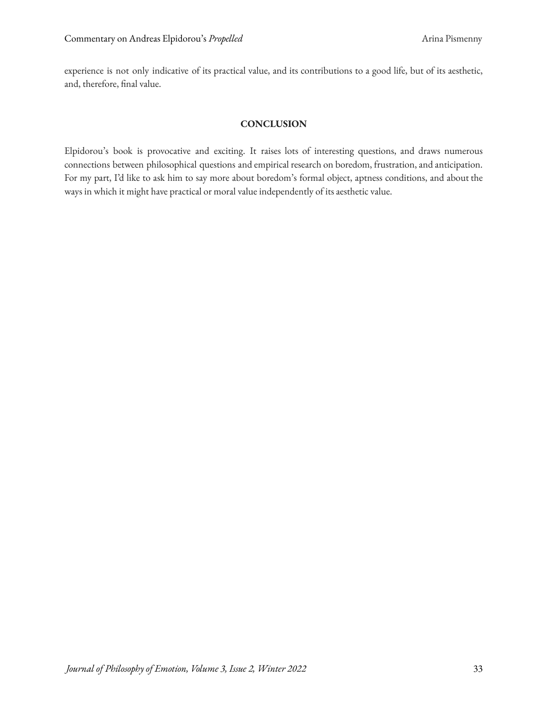experience is not only indicative of its practical value, and its contributions to a good life, but of its aesthetic, and, therefore, final value.

## **CONCLUSION**

Elpidorou's book is provocative and exciting. It raises lots of interesting questions, and draws numerous connections between philosophical questions and empirical research on boredom, frustration, and anticipation. For my part, I'd like to ask him to say more about boredom's formal object, aptness conditions, and about the ways in which it might have practical or moral value independently of its aesthetic value.